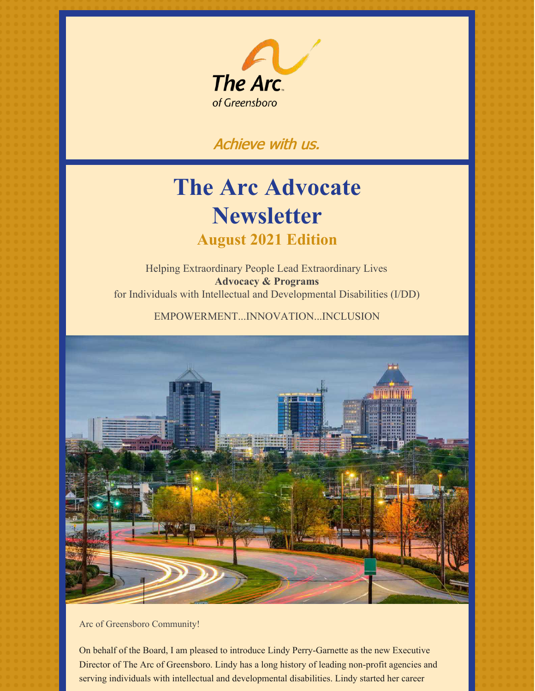

# Achieve with us.

# **The Arc Advocate Newsletter August 2021 Edition**

Helping Extraordinary People Lead Extraordinary Lives **Advocacy & Programs** for Individuals with Intellectual and Developmental Disabilities (I/DD)

EMPOWERMENT...INNOVATION...INCLUSION



Arc of Greensboro Community!

On behalf of the Board, I am pleased to introduce Lindy Perry-Garnette as the new Executive Director of The Arc of Greensboro. Lindy has a long history of leading non-profit agencies and serving individuals with intellectual and developmental disabilities. Lindy started her career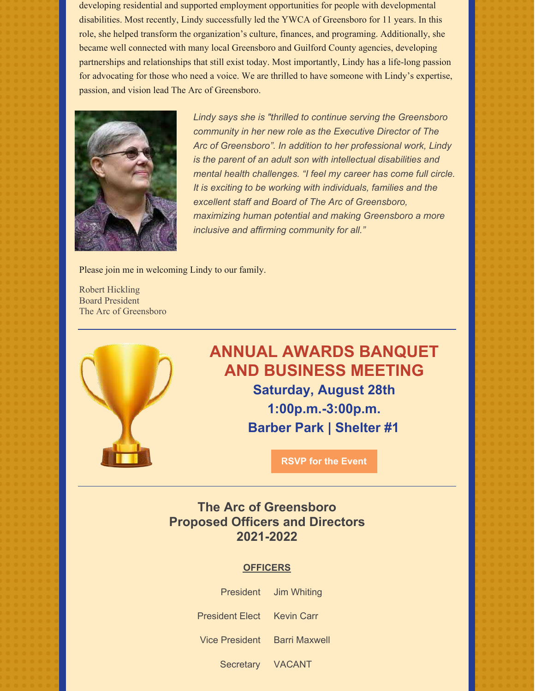developing residential and supported employment opportunities for people with developmental disabilities. Most recently, Lindy successfully led the YWCA of Greensboro for 11 years. In this role, she helped transform the organization's culture, finances, and programing. Additionally, she became well connected with many local Greensboro and Guilford County agencies, developing partnerships and relationships that still exist today. Most importantly, Lindy has a life-long passion for advocating for those who need a voice. We are thrilled to have someone with Lindy's expertise, passion, and vision lead The Arc of Greensboro.



*Lindy says she is "thrilled to continue serving the Greensboro community in her new role as the Executive Director of The Arc of Greensboro". In addition to her professional work, Lindy is the parent of an adult son with intellectual disabilities and mental health challenges. "I feel my career has come full circle. It is exciting to be working with individuals, families and the excellent staff and Board of The Arc of Greensboro, maximizing human potential and making Greensboro a more inclusive and affirming community for all."*

Please join me in welcoming Lindy to our family.

Robert Hickling Board President The Arc of Greensboro



# **ANNUAL AWARDS BANQUET AND BUSINESS MEETING Saturday, August 28th 1:00p.m.-3:00p.m. Barber Park | Shelter #1**

**RSVP for the [Event](https://events.r20.constantcontact.com/register/eventReg?oeidk=a07ei9tjet0338b11d6&oseq=&c=a0d3a000-31a4-11e6-87ad-d4ae529a8612&ch=a0dfd500-31a4-11e6-87ad-d4ae529a8612)**

## **The Arc of Greensboro Proposed Officers and Directors 2021-2022**

#### **OFFICERS**

|                              | President Jim Whiting |
|------------------------------|-----------------------|
| President Elect Kevin Carr   |                       |
| Vice President Barri Maxwell |                       |
|                              |                       |

Secretary VACANT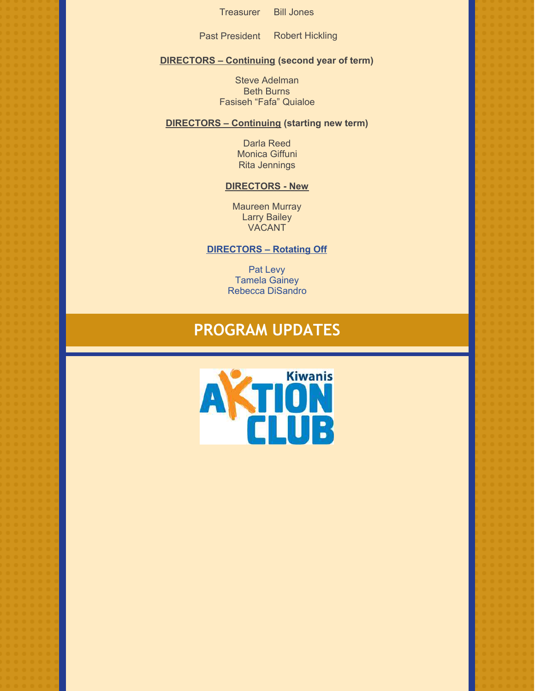Treasurer Bill Jones

Past President Robert Hickling

#### **DIRECTORS – Continuing (second year of term)**

Steve Adelman Beth Burns Fasiseh "Fafa" Quialoe

#### **DIRECTORS – Continuing (starting new term)**

Darla Reed Monica Giffuni Rita Jennings

#### **DIRECTORS - New**

Maureen Murray Larry Bailey VACANT

#### **DIRECTORS – Rotating Off**

Pat Levy Tamela Gainey Rebecca DiSandro

# **PROGRAM UPDATES**

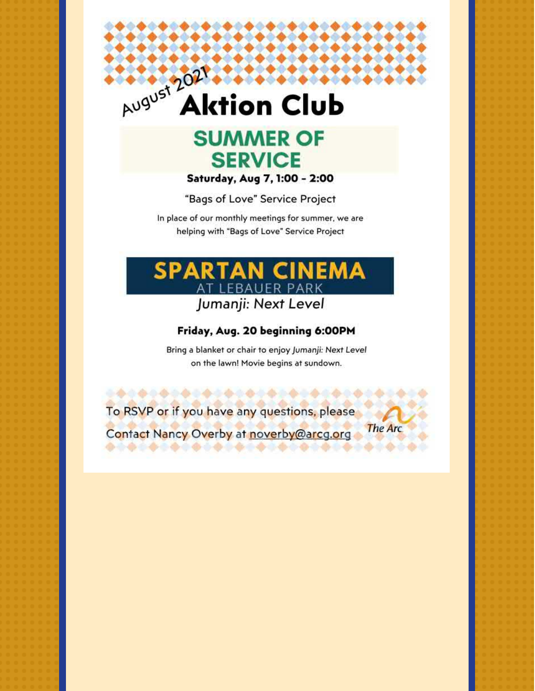# August 202 **Aktion Club**



Saturday, Aug 7, 1:00 - 2:00

"Bags of Love" Service Project

In place of our monthly meetings for summer, we are helping with "Bags of Love" Service Project



## Friday, Aug. 20 beginning 6:00PM

Bring a blanket or chair to enjoy Jumanji: Next Level on the lawn! Movie begins at sundown.

The Arc

To RSVP or if you have any questions, please

Contact Nancy Overby at noverby@arcg.org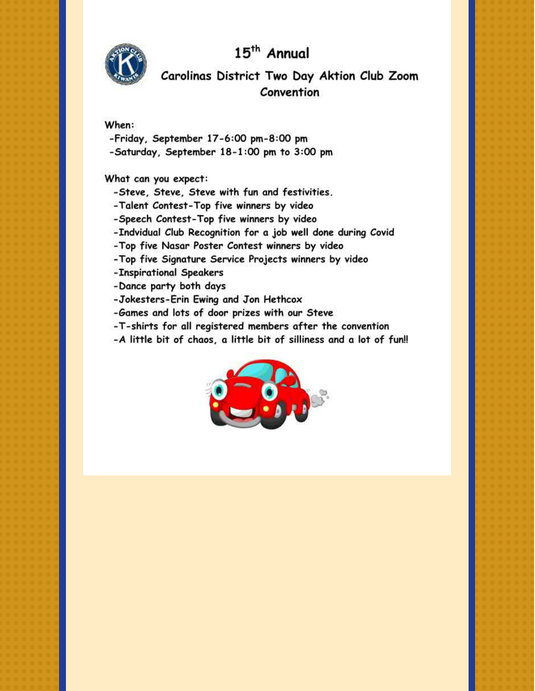15<sup>th</sup> Annual



## Carolinas District Two Day Aktion Club Zoom Convention

#### When:

- -Friday, September 17-6:00 pm-8:00 pm
- -Saturday, September 18-1:00 pm to 3:00 pm

What can you expect:

- -Steve, Steve, Steve with fun and festivities.
- -Talent Contest-Top five winners by video
- -Speech Contest-Top five winners by video
- -Indvidual Club Recognition for a job well done during Covid
- -Top five Nasar Poster Contest winners by video
- -Top five Signature Service Projects winners by video
- -Inspirational Speakers
- -Dance party both days
- -Jokesters-Erin Ewing and Jon Hethcox
- -Games and lots of door prizes with our Steve
- -T-shirts for all registered members after the convention
- -A little bit of chaos, a little bit of silliness and a lot of fun!!

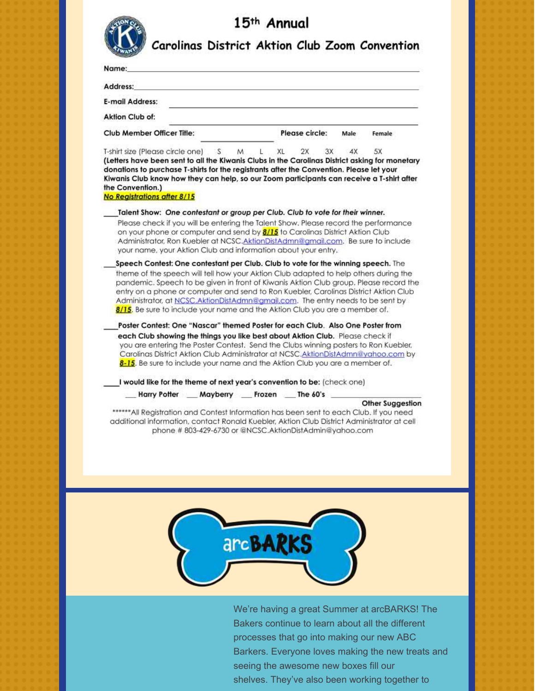

# 15th Annual

|  |  | Carolinas District Aktion Club Zoom Convention |
|--|--|------------------------------------------------|
|  |  |                                                |

| Name:                                                                                                                                                                                                                                                                                                                                                                                                                                                                                                                                                                                                                                                                                                                                                           |                                                        |           |    |                |    |      |                                                                                                                                                                                                                                                                                             |
|-----------------------------------------------------------------------------------------------------------------------------------------------------------------------------------------------------------------------------------------------------------------------------------------------------------------------------------------------------------------------------------------------------------------------------------------------------------------------------------------------------------------------------------------------------------------------------------------------------------------------------------------------------------------------------------------------------------------------------------------------------------------|--------------------------------------------------------|-----------|----|----------------|----|------|---------------------------------------------------------------------------------------------------------------------------------------------------------------------------------------------------------------------------------------------------------------------------------------------|
| Address:                                                                                                                                                                                                                                                                                                                                                                                                                                                                                                                                                                                                                                                                                                                                                        |                                                        |           |    |                |    |      |                                                                                                                                                                                                                                                                                             |
| <b>E-mail Address:</b>                                                                                                                                                                                                                                                                                                                                                                                                                                                                                                                                                                                                                                                                                                                                          |                                                        |           |    |                |    |      |                                                                                                                                                                                                                                                                                             |
| Aktion Club of:                                                                                                                                                                                                                                                                                                                                                                                                                                                                                                                                                                                                                                                                                                                                                 |                                                        |           |    |                |    |      |                                                                                                                                                                                                                                                                                             |
| Club Member Officer Title:                                                                                                                                                                                                                                                                                                                                                                                                                                                                                                                                                                                                                                                                                                                                      |                                                        |           |    | Please circle: |    | Male | Female                                                                                                                                                                                                                                                                                      |
| T-shirt size (Please circle one) S<br>(Letters have been sent to all the Kiwanis Clubs in the Carolinas District asking for monetary<br>donations to purchase T-shirts for the registrants after the Convention. Please let your<br>Kiwanis Club know how they can help, so our Zoom participants can receive a T-shirt after<br>the Convention.)                                                                                                                                                                                                                                                                                                                                                                                                               |                                                        | M.<br>L., | XL | 2X             | 3X | 4X   | 5X                                                                                                                                                                                                                                                                                          |
| No Registrations after 8/15                                                                                                                                                                                                                                                                                                                                                                                                                                                                                                                                                                                                                                                                                                                                     |                                                        |           |    |                |    |      |                                                                                                                                                                                                                                                                                             |
| Talent Show: One contestant or group per Club. Club to vote for their winner.<br>Please check if you will be entering the Talent Show. Please record the performance<br>on your phone or computer and send by <b>8/15</b> to Carolinas District Aktion Club<br>Administrator, Ron Kuebler at NCSC.AktionDistAdmn@amail.com. Be sure to include<br>your name, your Aktion Club and information about your entry.                                                                                                                                                                                                                                                                                                                                                 |                                                        |           |    |                |    |      |                                                                                                                                                                                                                                                                                             |
| Speech Contest: One contestant per Club. Club to vote for the winning speech. The<br>theme of the speech will tell how your Aktion Club adapted to help others during the<br>entry on a phone or computer and send to Ron Kuebler, Carolinas District Aktion Club<br>Administrator, at NCSC.AktionDistAdmn@amail.com. The entry needs to be sent by<br>8/15. Be sure to include your name and the Aktion Club you are a member of.<br>Poster Contest: One "Nascar" themed Poster for each Club. Also One Poster from<br>each Club showing the things you like best about Aktion Club. Please check if<br>8-15. Be sure to include your name and the Aktion Club you are a member of.<br>I would like for the theme of next year's convention to be: (check one) | Harry Potter Mayberry Frozen The 60's                  |           |    |                |    |      | pandemic. Speech to be given in front of Kiwanis Aktion Club group, Please record the<br>you are entering the Poster Contest. Send the Clubs winning posters to Ron Kuebler,<br>Carolinas District Aktion Club Administrator at NCSC.AktionDistAdmn@yahoo.com by<br><b>Other Suggestion</b> |
| additional information, contact Ronald Kuebler, Aktion Club District Administrator at cell                                                                                                                                                                                                                                                                                                                                                                                                                                                                                                                                                                                                                                                                      | phone #803-429-6730 or @NCSC.AktionDistAdmin@yahoo.com |           |    |                |    |      | ****All Registration and Contest Information has been sent to each Club. If you need                                                                                                                                                                                                        |
|                                                                                                                                                                                                                                                                                                                                                                                                                                                                                                                                                                                                                                                                                                                                                                 |                                                        |           |    |                |    |      |                                                                                                                                                                                                                                                                                             |

We're having a great Summer at arcBARKS! The Bakers continue to learn about all the different processes that go into making our new ABC Barkers. Everyone loves making the new treats and seeing the awesome new boxes fill our shelves. They've also been working together to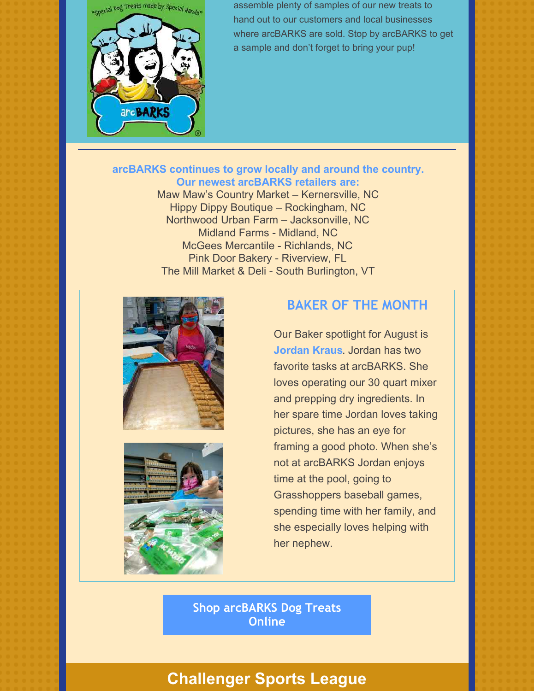"Special Dog Treats made by Special Hands"



assemble plenty of samples of our new treats to hand out to our customers and local businesses where arcBARKS are sold. Stop by arcBARKS to get a sample and don't forget to bring your pup!

### **arcBARKS continues to grow locally and around the country. Our newest arcBARKS retailers are:**

Maw Maw's Country Market – Kernersville, NC Hippy Dippy Boutique – Rockingham, NC Northwood Urban Farm – Jacksonville, NC Midland Farms - Midland, NC McGees Mercantile - Richlands, NC Pink Door Bakery - Riverview, FL The Mill Market & Deli - South Burlington, VT





## **BAKER OF THE MONTH**

Our Baker spotlight for August is **Jordan Kraus**. Jordan has two favorite tasks at arcBARKS. She loves operating our 30 quart mixer and prepping dry ingredients. In her spare time Jordan loves taking pictures, she has an eye for framing a good photo. When she's not at arcBARKS Jordan enjoys time at the pool, going to Grasshoppers baseball games, spending time with her family, and she especially loves helping with her nephew.

**Shop [arcBARKS](https://arcbarks.com/) Dog Treats Online**

## **Challenger Sports League**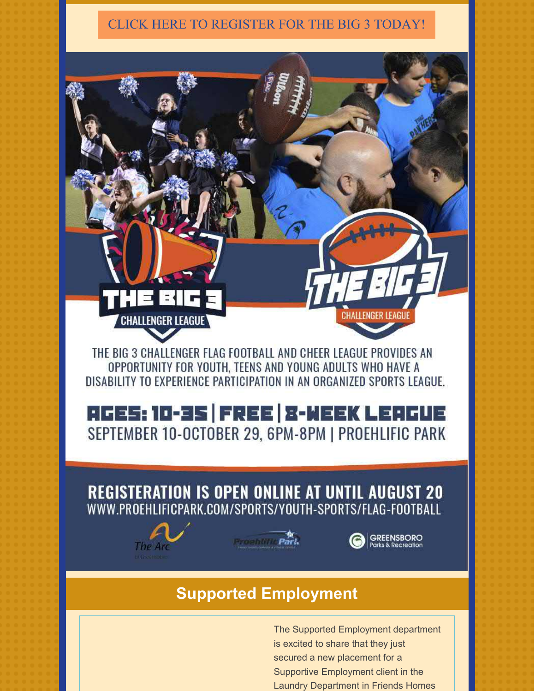## CLICK HERE TO [REGISTER](https://proehlificpark.com/sports/youth-sports/flag-football/?fbclid=IwAR0mNKoyZgFlZWJoWs3EVxiUIJ4WnO1MzZoKWGqx_T9aias39shHEjsOSbI) FOR THE BIG 3 TODAY!



# **Supported Employment**

The Supported Employment department is excited to share that they just secured a new placement for a Supportive Employment client in the Laundry Department in Friends Homes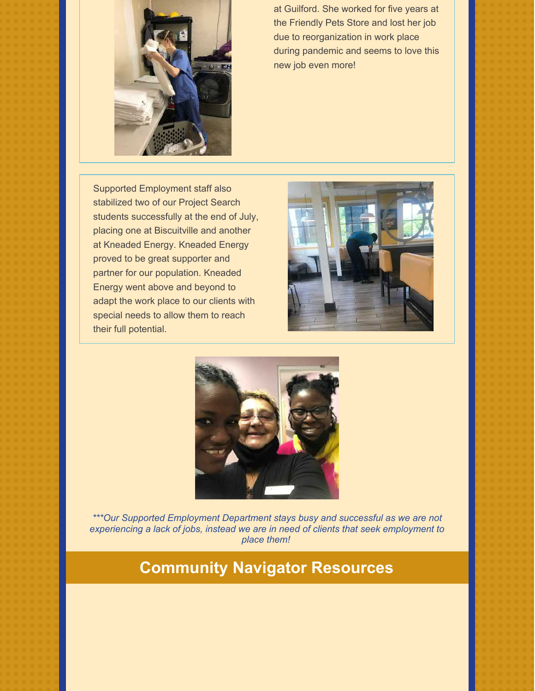

at Guilford. She worked for five years at the Friendly Pets Store and lost her job due to reorganization in work place during pandemic and seems to love this new job even more!

Supported Employment staff also stabilized two of our Project Search students successfully at the end of July, placing one at Biscuitville and another at Kneaded Energy. Kneaded Energy proved to be great supporter and partner for our population. Kneaded Energy went above and beyond to adapt the work place to our clients with special needs to allow them to reach their full potential.





*\*\*\*Our Supported Employment Department stays busy and successful as we are not experiencing a lack of jobs, instead we are in need of clients that seek employment to place them!*

# **Community Navigator Resources**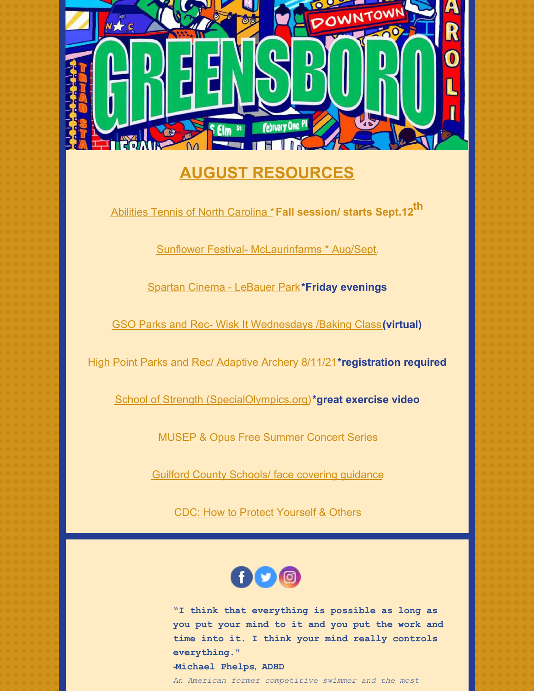

# **AUGUST RESOURCES**

Abilities Tennis of North [Carolina](https://atanc.org/clinics/?utm_source=ATANC&utm_campaign=f48cb97863-EMAIL_CAMPAIGN_2021_05_02_12_16_COPY_01&utm_medium=email&utm_term=0_e2e108318b-f48cb97863-355133258&mc_cid=f48cb97863&mc_eid=94ada4b034#1612044271118-5c423692-86f1) \***Fall session/ starts Sept.12 th**

Sunflower Festival- [McLaurinfarms](http://www.mclaurinfarms.com/) \* Aug/Sept.

Spartan Cinema - [LeBauer](https://www.greensborodowntownparks.org/post/spartan-cinema-2021-movie-lineup) Park**\*Friday evenings**

GSO Parks and Rec- Wisk It [Wednesdays](https://www.greensboro-nc.gov/departments/parks-recreation/adaptive-inclusive-recreation/calendar-of-events) /Baking Class**[\(virtual\)](https://www.greensboro-nc.gov/departments/parks-recreation/adaptive-inclusive-recreation/calendar-of-events)**

High Point Parks and Rec/ [Adaptive](https://www.highpointnc.gov/Activities/Activity/Detail/Adaptive-Archery-1133) Archery 8/11/21**[\\*registration](https://www.highpointnc.gov/Activities/Activity/Detail/Adaptive-Archery-1133) required**

School of Strength [\(SpecialOlympics.org\)](https://www.specialolympics.org/school-of-strength)**\*great exercise video**

MUSEP & Opus Free [Summer](https://www.greensboro-nc.gov/departments/creative-greensboro/creative-greensboro-presents/music-programming-at-creative-greensboro/musep-opus-concert-series) Concert Series

Guilford County Schools/ face covering [guidance](https://www.gcsnc.com/site/default.aspx?PageType=3&DomainID=4&ModuleInstanceID=174&ViewID=6446EE88-D30C-497E-9316-3F8874B3E108&RenderLoc=0&FlexDataID=148179&PageID=1)

CDC: How to Protect [Yourself](https://www.cdc.gov/coronavirus/2019-ncov/prevent-getting-sick/prevention.html) & Others



**"I think that everything is possible as long as you put your mind to it and you put the work and time into it. I think your mind really controls everything." -[Michael](https://www.ldrfa.org/michael-phelps/) Phelps, ADHD**

*An American former competitive swimmer and the most*